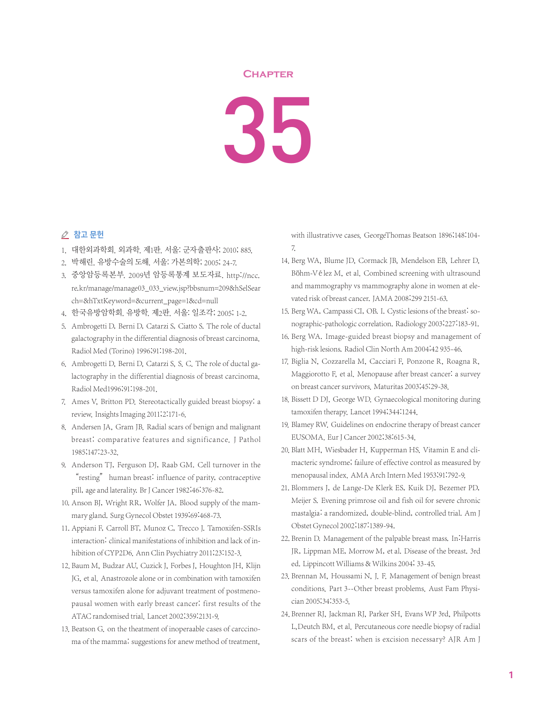## **Chapter**

35

## ⊘ 참고 문헌

- 1. 대한외과학회. 외과학. 제1판. 서울: 군자출판사; 2010; 885.
- 2. 박해린. 유방수술의 도해. 서울: 가본의학; 2005; 24-7.
- 3. 중앙암등록본부. 2009년 암등록통계 보도자료. http://ncc. re.kr/manage/manage03\_033\_view.jsp?bbsnum=209&hSelSear ch=&hTxtKeyword=&current\_page=1&cd=null
- 4. 한국유방암학회. 유방학. 제2판. 서울: 일조각; 2005; 1-2.
- 5. Ambrogetti D, Berni D, Catarzi S, Ciatto S. The role of ductal galactography in the differential diagnosis of breast carcinoma. Radiol Med (Torino) 1996;91:198-201.
- 6. Ambrogetti D, Berni D, Catarzi S, S. C. The role of ductal galactography in the differential diagnosis of breast carcinoma. Radiol Med1996;91:198-201.
- 7. Ames V, Britton PD. Stereotactically guided breast biopsy: a review.Insights Imaging 2011;2:171-6.
- 8. Andersen JA, Gram JB. Radial scars of benign and malignant breast: comparative features and significance. J Pathol 1985;147:23-32.
- 9. Anderson TJ, Ferguson DJ, Raab GM. Cell turnover in the "resting" human breast: influence of parity, contraceptive pill, age and laterality. Br J Cancer 1982;46:376-82.
- 10. Anson BJ, Wright RR, Wolfer JA. Blood supply of the mammary gland. Surg Gynecol Obstet 1939;69:468-73.
- 11. Appiani F, Carroll BT, Munoz C, Trecco J. Tamoxifen-SSRIs interaction: clinical manifestations of inhibition and lack of inhibition of CYP2D6. Ann Clin Psychiatry 2011;23:152-3.
- 12. Baum M, Budzar AU, Cuzick J, Forbes J, Houghton JH, Klijn JG, et al. Anastrozole alone or in combination with tamoxifen versus tamoxifen alone for adjuvant treatment of postmenopausal women with early breast cancer: first results of the ATAC randomised trial. Lancet 2002;359:2131-9.
- 13. Beatson G. on the theatment of inoperaable cases of carccinoma of the mamma: suggestions for anew method of treatment,

with illustrativve cases. GeorgeThomas Beatson 1896;148:104- 7.

- 14. Berg WA, Blume JD, Cormack JB, Mendelson EB, Lehrer D, Böhm-Vélez M, et al. Combined screening with ultrasound and mammography vs mammography alone in women at elevated risk of breast cancer. JAMA 2008;299 2151-63.
- 15. Berg WA, Campassi CI, OB. I. Cystic lesions of the breast: sonographic-pathologic correlation. Radiology 2003;227:183-91.
- 16. Berg WA. Image-guided breast biopsy and management of high-risk lesions. Radiol Clin North Am 2004;42 935-46.
- 17. Biglia N, Cozzarella M, Cacciari F, Ponzone R, Roagna R, Maggiorotto F, et al. Menopause after breast cancer: a survey on breast cancer survivors. Maturitas 2003;45:29-38.
- 18. Bissett D DJ, George WD. Gynaecological monitoring during tamoxifen therapy. Lancet 1994;344:1244.
- 19. Blamey RW. Guidelines on endocrine therapy of breast cancer EUSOMA. Eur J Cancer 2002;38:615-34.
- 20. Blatt MH, Wiesbader H, Kupperman HS. Vitamin E and climacteric syndrome; failure of effective control as measured by menopausal index. AMA Arch Intern Med 1953;91:792-9.
- 21. Blommers J, de Lange-De Klerk ES, Kuik DJ, Bezemer PD, Meijer S. Evening primrose oil and fish oil for severe chronic mastalgia: a randomized, double-blind, controlled trial. Am J Obstet Gynecol 2002;187:1389-94.
- 22. Brenin D. Management of the palpable breast mass. In: Harris JR, Lippman ME, Morrow M, et al. Disease of the breast. 3rd ed. Lippincott Williams & Wilkins 2004; 33-45.
- 23. Brennan M, Houssami N, J. F. Management of benign breast conditions. Part 3--Other breast problems. Aust Fam Physician 2005;34:353-5.
- 24. Brenner RJ, Jackman RJ, Parker SH, Evans WP 3rd, Philpotts L,Deutch BM, et al. Percutaneous core needle biopsy of radial scars of the breast: when is excision necessary? AJR Am J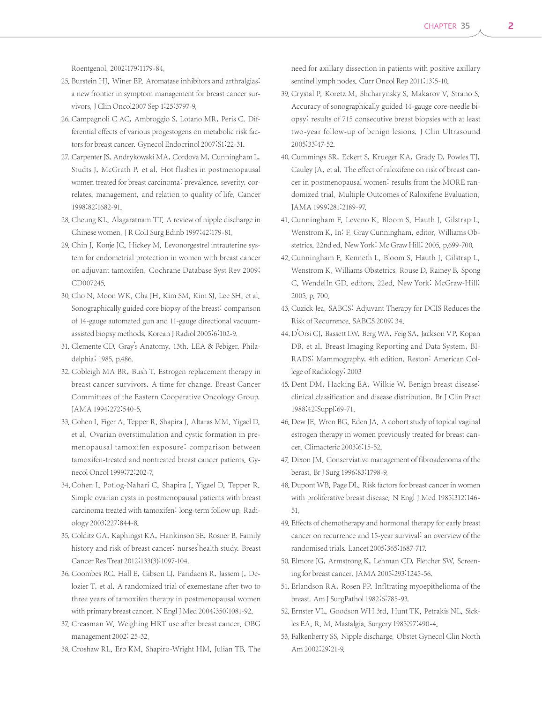Roentgenol. 2002;179:1179-84.

- 25. Burstein HJ, Winer EP. Aromatase inhibitors and arthralgias: a new frontier in symptom management for breast cancer survivors.J Clin Oncol2007 Sep 1;25:3797-9.
- 26. Campagnoli C AC, Ambroggio S, Lotano MR, Peris C. Differential effects of various progestogens on metabolic risk factors for breast cancer. Gynecol Endocrinol 2007;S1:22-31.
- 27. Carpenter JS, Andrykowski MA, Cordova M, Cunningham L, Studts J, McGrath P, et al. Hot flashes in postmenopausal women treated for breast carcinoma: prevalence, severity, correlates, management, and relation to quality of life. Cancer 1998;82:1682-91.
- 28. Cheung KL, Alagaratnam TT. A review of nipple discharge in Chinese women.J R ColI Surg Edinb 1997;42:179-81.
- 29. Chin J, Konje JC, Hickey M. Levonorgestrel intrauterine system for endometrial protection in women with breast cancer on adjuvant tamoxifen. Cochrane Database Syst Rev 2009; CD007245.
- 30. Cho N, Moon WK, Cha JH, Kim SM, Kim SJ, Lee SH, et al. Sonographically guided core biopsy of the breast: comparison of 14-gauge automated gun and 11-gauge directional vacuumassisted biopsy methods. Korean J Radiol 2005;6:102-9.
- 31. Clemente CD. Gray's Anatomy, 13th. LEA & Febiger. Philadelphia; 1985. p.486.
- 32. Cobleigh MA BR, Bush T. Estrogen replacement therapy in breast cancer survivors. A time for change. Breast Cancer Committees of the Eastern Cooperative Oncology Group. JAMA 1994;272:540-5.
- 33. Cohen I, Figer A, Tepper R, Shapira J, Altaras MM, Yigael D, et al. Ovarian overstimulation and cystic formation in premenopausal tamoxifen exposure: comparison between tamoxifen-treated and nontreated breast cancer patients. Gynecol Oncol 1999;72:202-7.
- 34. Cohen I, Potlog-Nahari C, Shapira J, Yigael D, Tepper R. Simple ovarian cysts in postmenopausal patients with breast carcinoma treated with tamoxifen: long-term follow up. Radiology 2003;227:844-8.
- 35. Colditz GA, Kaphingst KA, Hankinson SE, Rosner B. Family history and risk of breast cancer: nurses'health study. Breast Cancer Res Treat 2012;133(3):1097-104.
- 36. Coombes RC, Hall E, Gibson LJ, Paridaens R, Jassem J, Delozier T, et al. A randomized trial of exemestane after two to three years of tamoxifen therapy in postmenopausal women with primary breast cancer. N Engl J Med 2004;350:1081-92.
- 37. Creasman W. Weighing HRT use after breast cancer. OBG management 2002: 25-32.
- 38. Croshaw RL, Erb KM, Shapiro-Wright HM, Julian TB. The

need for axillary dissection in patients with positive axillary sentinel lymph nodes. Curr Oncol Rep 2011;13:5-10.

- 39. Crystal P, Koretz M, Shcharynsky S, Makarov V, Strano S. Accuracy of sonographically guided 14-gauge core-needle biopsy: results of 715 consecutive breast biopsies with at least two-year follow-up of benign lesions. J Clin Ultrasound 2005;33:47-52.
- 40. Cummings SR, Eckert S, Krueger KA, Grady D, Powles TJ, Cauley JA, et al. The effect of raloxifene on risk of breast cancer in postmenopausal women: results from the MORE randomized trial. Multiple Outcomes of Raloxifene Evaluation. JAMA 1999;281:2189-97.
- 41. Cunningham F, Leveno K, Bloom S, Hauth J, Gilstrap L, Wenstrom K, In: F. Gray Cunningham, editor. Williams Obstetrics. 22nd ed. New York: Mc Graw Hill; 2005. p.699-700.
- 42. Cunningham F, Kenneth L, Bloom S, Hauth J, Gilstrap L, Wenstrom K. Williams Obstetrics. Rouse D, Rainey B, Spong C, WendelIn GD, editors. 22ed. New York: McGraw-Hill; 2005. p. 700.
- 43. Cuzick Jea. SABCS: Adjuvant Therapy for DCIS Reduces the Risk of Recurrence. SABCS 2009; 34.
- 44. D'Orsi CJ, Bassett LW, Berg WA, Feig SA, Jackson VP, Kopan DB, et al. Breast Imaging Reporting and Data System, BI-RADS: Mammography, 4th edition. Reston: American College of Radiology; 2003
- 45. Dent DM, Hacking EA, Wilkie W. Benign breast disease: clinical classification and disease distribution. Br J Clin Pract 1988;42:Suppl:69-71.
- 46. Dew JE, Wren BG, Eden JA. A cohort study of topical vaginal estrogen therapy in women previously treated for breast cancer. Climacteric 2003;6:15-52.
- 47. Dixon JM. Conserviative management of fibroadenoma of the berast. Br J Surg 1996;83:1798-9.
- 48. Dupont WB, Page DL. Risk factors for breast cancer in women with proliferative breast disease. N Engl J Med 1985;312:146- 51.
- 49. Effects of chemotherapy and hormonal therapy for early breast cancer on recurrence and 15-year survival: an overview of the randomised trials. Lancet 2005;365:1687-717.
- 50. Elmore JG, Armstrong K, Lehman CD, Fletcher SW. Screening for breast cancer. JAMA 2005;293:1245-56.
- 51. Erlandson RA, Rosen PP. Infltrating myoepithelioma of the breast. Am J SurgPathol 1982;6:785-93.
- 52. Ernster VL, Goodson WH 3rd, Hunt TK, Petrakis NL, Sickles EA, R. M. Mastalgia. Surgery 1985;97:490-4.
- 53. Falkenberry SS. Nipple discharge. Obstet Gynecol Clin North Am 2002;29:21-9.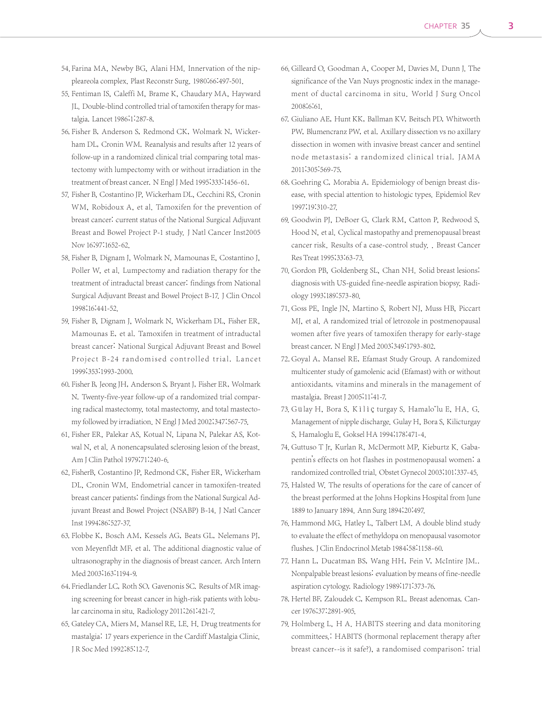- 54. Farina MA, Newby BG, Alani HM. Innervation of the nippleareola complex. Plast Reconstr Surg. 1980;66:497-501.
- 55. Fentiman IS, Caleffi M, Brame K, Chaudary MA, Hayward JL. Double-blind controlled trial of tamoxifen therapy for mastalgia. Lancet 1986;1:287-8.
- 56. Fisher B, Anderson S, Redmond CK, Wolmark N, Wickerham DL, Cronin WM. Reanalysis and results after 12 years of follow-up in a randomized clinical trial comparing total mastectomy with lumpectomy with or without irradiation in the treatment of breast cancer. N Engl J Med 1995;333:1456-61.
- 57. Fisher B, Costantino JP, Wickerham DL, Cecchini RS, Cronin WM, Robidoux A, et al. Tamoxifen for the prevention of breast cancer: current status of the National Surgical Adjuvant Breast and Bowel Project P-1 study. J Natl Cancer Inst2005 Nov 16;97:1652-62.
- 58. Fisher B, Dignam J, Wolmark N, Mamounas E, Costantino J, Poller W, et al. Lumpectomy and radiation therapy for the treatment of intraductal breast cancer: findings from National Surgical Adjuvant Breast and Bowel Project B-17. J Clin Oncol 1998;16:441-52.
- 59. Fisher B, Dignam J, Wolmark N, Wickerham DL, Fisher ER, Mamounas E, et al. Tamoxifen in treatment of intraductal breast cancer: National Surgical Adjuvant Breast and Bowel Project B-24 randomised controlled trial. Lancet 1999;353:1993-2000.
- 60. Fisher B, Jeong JH, Anderson S, Bryant J, Fisher ER, Wolmark N. Twenty-five-year follow-up of a randomized trial comparing radical mastectomy, total mastectomy, and total mastectomy followed by irradiation. N Engl J Med 2002;347:567-75.
- 61. Fisher ER, Palekar AS, Kotual N, Lipana N, Palekar AS, Kotwal N, et al. A nonencapsulated sclerosing lesion of the breast. Am J Clin Pathol 1979;71:240-6.
- 62. FisherB, Costantino JP, Redmond CK, Fisher ER, Wickerham DL, Cronin WM. Endometrial cancer in tamoxifen-treated breast cancer patients: findings from the National Surgical Adjuvant Breast and Bowel Project (NSABP) B-14. J Natl Cancer Inst 1994;86:527-37.
- 63. Flobbe K, Bosch AM, Kessels AG, Beats GL, Nelemans PJ, von Meyenfldt MF, et al. The additional diagnostic value of ultrasonography in the diagnosis of breast cancer. Arch Intern Med 2003;163:1194-9.
- 64. Friedlander LC, Roth SO, Gavenonis SC. Results of MR imaging screening for breast cancer in high-risk patients with lobular carcinoma in situ. Radiology 2011;261:421-7.
- 65. Gateley CA, Miers M, Mansel RE, LE. H. Drug treatments for mastalgia: 17 years experience in the Cardiff Mastalgia Clinic. J R Soc Med 1992;85:12-7.
- 66. Gilleard O, Goodman A, Cooper M, Davies M, Dunn J. The significance of the Van Nuys prognostic index in the management of ductal carcinoma in situ. World J Surg Oncol 2008;6:61.
- 67. Giuliano AE, Hunt KK, Ballman KV, Beitsch PD, Whitworth PW, Blumencranz PW, et al. Axillary dissection vs no axillary dissection in women with invasive breast cancer and sentinel node metastasis: a randomized clinical trial. JA M A 2011;305:569-75.
- 68. Goehring C, Morabia A. Epidemiology of benign breast disease, with special attention to histologic types. Epidemiol Rev 1997;19:310-27.
- 69. Goodwin PJ, DeBoer G, Clark RM, Catton P, Redwood S, Hood N, et al. Cyclical mastopathy and premenopausal breast cancer risk. Results of a case-control study. . Breast Cancer Res Treat 1995;33:63-73.
- 70. Gordon PB, Goldenberg SL, Chan NH. Solid breast lesions: diagnosis with US-guided fine-needle aspiration biopsy. Radiology 1993;189:573-80.
- 71. Goss PE, Ingle JN, Martino S, Robert NJ, Muss HB, Piccart MJ, et al. A randomized trial of letrozole in postmenopausal women after five years of tamoxifen therapy for early-stage breast cancer. N Engl J Med 2003;349:1793-802.
- 72. Goyal A, Mansel RE, Efamast Study Group. A randomized multicenter study of gamolenic acid (Efamast) with or without antioxidants, vitamins and minerals in the management of mastalgia. Breast J 2005;11:41-7.
- 73. Gülay H, Bora S, Kìlìç turgay S, Hamalo˘lu E, HA. G. Management of nipple discharge. Gulay H, Bora S, Kilicturgay S, Hamaloglu E, Goksel HA 1994;178:471-4.
- 74. Guttuso T Jr, Kurlan R, McDermott MP, Kieburtz K. Gabapentin's effects on hot flashes in postmenopausal women: a randomized controlled trial. Obstet Gynecol 2003;101:337-45.
- 75. Halsted W. The results of operations for the care of cancer of the breast performed at the Johns Hopkins Hospital from June 1889 to January 1894. Ann Surg 1894;20:497.
- 76. Hammond MG, Hatley L, Talbert LM. A double blind study to evaluate the effect of methyldopa on menopausal vasomotor flushes. J Clin Endocrinol Metab 1984;58:1158-60.
- 77. Hann L, Ducatman BS, Wang HH, Fein V, McIntire JM.. Nonpalpable breast lesions: evaluation by means of fine-needle aspiration cytology. Radiology 1989;171:373-76.
- 78. Hertel BF, Zaloudek C, Kempson RL. Breast adenomas. Cancer 1976;37:2891-905.
- 79. Holmberg L, H A. HABITS steering and data monitoring committees.: HABITS (hormonal replacement therapy after breast cancer--is it safe?), a randomised comparison: trial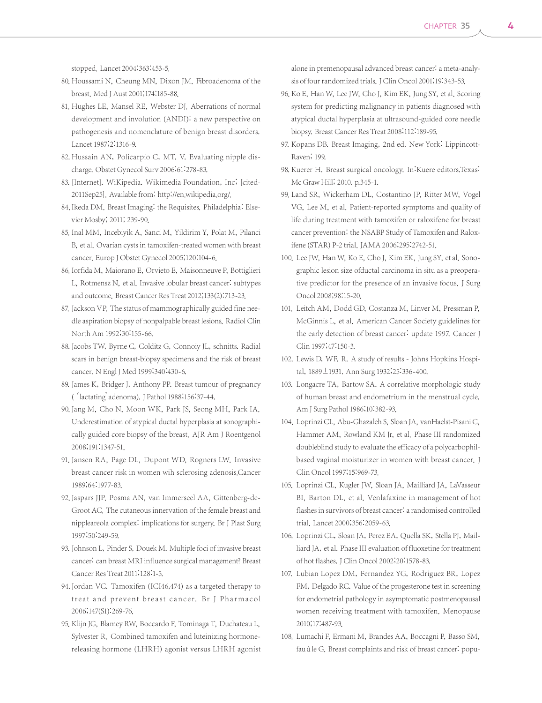stopped. Lancet 2004;363:453-5.

- 80. Houssami N, Cheung MN, Dixon JM. Fibroadenoma of the breast. Med J Aust 2001;174:185-88.
- 81. Hughes LE, Mansel RE, Webster DJ. Aberrations of normal development and involution (ANDI): a new perspective on pathogenesis and nomenclature of benign breast disorders. Lancet 1987;2:1316-9.
- 82. Hussain AN, Policarpio C, MT. V. Evaluating nipple discharge. Obstet Gynecol Surv 2006;61:278-83.
- 83. [Internet]. WiKipedia. Wikimedia Foundation, Inc; [cited-2011Sep25]. Available from: http://en.wikipedia.org/.
- 84. Ikeda DM. Breast Imaging: the Requisites. Philadelphia: Elsevier Mosby; 2011; 239-90.
- 85. Inal MM, Incebiyik A, Sanci M, Yildirim Y, Polat M, Pilanci B, et al. Ovarian cysts in tamoxifen-treated women with breast cancer. Europ J Obstet Gynecol 2005;120:104-6.
- 86. Iorfida M, Maiorano E, Orvieto E, Maisonneuve P, Bottiglieri L, Rotmensz N, et al. Invasive lobular breast cancer: subtypes and outcome. Breast Cancer Res Treat 2012;133(2):713-23.
- 87. Jackson VP. The status of mammographically guided fine needle aspiration biopsy of nonpalpable breast lesions. Radiol Clin North Am 1992;30:155-66.
- 88. Jacobs TW, Byrne C, Colditz G, Connoiy JL, schnitts. Radial scars in benign breast-biopsy specimens and the risk of breast cancer. N Engl J Med 1999;340:430-6.
- 89. James K, Bridger J, Anthony PP. Breast tumour of pregnancy ('lactating' adenoma).J Pathol 1988;156:37-44.
- 90. Jang M, Cho N, Moon WK, Park JS, Seong MH, Park IA. Underestimation of atypical ductal hyperplasia at sonographically guided core biopsy of the breast. AJR Am J Roentgenol 2008;191:1347-51.
- 91. Jansen RA, Page DL, Dupont WD, Rogners LW. Invasive breast cancer risk in women wih sclerosing adenosis.Cancer 1989;64:1977-83.
- 92. Jaspars JJP. Posma AN, van Immerseel AA, Gittenberg-de-Groot AC. The cutaneous innervation of the female breast and nippleareola complex: implications for surgery. Br J Plast Surg 1997;50:249-59.
- 93. Johnson L, Pinder S, Douek M. Multiple foci of invasive breast cancer: can breast MRI influence surgical management? Breast Cancer Res Treat 2011;128:1-5.
- 94. Jordan VC. Tamoxifen (ICI46,474) as a targeted therapy to treat and prevent breast cancer. Br J Pharmacol 2006;147(S1):269-76.
- 95. Klijn JG, Blamey RW, Boccardo F, Tominaga T, Duchateau L, Sylvester R. Combined tamoxifen and luteinizing hormonereleasing hormone (LHRH) agonist versus LHRH agonist

alone in premenopausal advanced breast cancer: a meta-analysis of four randomized trials. J Clin Oncol 2001;19:343-53.

- 96. Ko E, Han W, Lee JW, Cho J, Kim EK, Jung SY, et al. Scoring system for predicting malignancy in patients diagnosed with atypical ductal hyperplasia at ultrasound-guided core needle biopsy. Breast Cancer Res Treat 2008;112:189-95.
- 97. Kopans DB. Breast Imaging, 2nd ed. New York: Lippincott-Raven; 199.
- 98. Kuerer H. Breast surgical oncology. In: Kuere editors. Texas: Mc Graw Hill; 2010. p.345-1.
- 99. Land SR, Wickerham DL, Costantino JP, Ritter MW, Vogel VG, Lee M, et al. Patient-reported symptoms and quality of life during treatment with tamoxifen or raloxifene for breast cancer prevention: the NSABP Study of Tamoxifen and Raloxifene (STAR) P-2 trial. JAMA 2006;295:2742-51.
- 100. Lee JW, Han W, Ko E, Cho J, Kim EK, Jung SY, et al. Sonographic lesion size ofductal carcinoma in situ as a preoperative predictor for the presence of an invasive focus. J Surg Oncol 2008;98:15-20.
- 101. Leitch AM, Dodd GD, Costanza M, Linver M, Pressman P, McGinnis L, et al. American Cancer Society guidelines for the early detection of breast cancer: update 1997. Cancer J Clin 1997;47:150-3.
- 102. Lewis D, WF. R. A study of results Johns Hopkins Hospital, 1889±1931. Ann Surg 1932;25:336-400.
- 103. Longacre TA, Bartow SA, A correlative morphologic study of human breast and endometrium in the menstrual cycle. Am J Surg Pathol 1986;10:382-93.
- 104. Loprinzi CL, Abu-Ghazaleh S, Sloan JA, vanHaelst-Pisani C, Hammer AM, Rowland KM Jr, et al. Phase III randomized doubleblind study to evaluate the efficacy of a polycarbophilbased vaginal moisturizer in women with breast cancer. J Clin Oncol 1997;15:969-73.
- 105. Loprinzi CL, Kugler JW, Sloan JA, Mailliard JA, LaVasseur BI, Barton DL, et al. Venlafaxine in management of hot flashes in survivors of breast cancer: a randomised controlled trial. Lancet 2000;356:2059-63.
- 106. Loprinzi CL, Sloan JA, Perez EA, Quella SK, Stella PJ, Mailliard JA, et al. Phase III evaluation of fluoxetine for treatment of hot flashes.J Clin Oncol 2002;20:1578-83.
- 107. Lubian Lopez DM, Fernandez YG, Rodriguez BR, Lopez FM, Delgado RC. Value of the progesterone test in screening for endometrial pathology in asymptomatic postmenopausal women receiving treatment with tamoxifen. Menopause 2010;17:487-93.
- 108. Lumachi F, Ermani M, Brandes AA, Boccagni P, Basso SM, fauàle G. Breast complaints and risk of breast cancer: popu-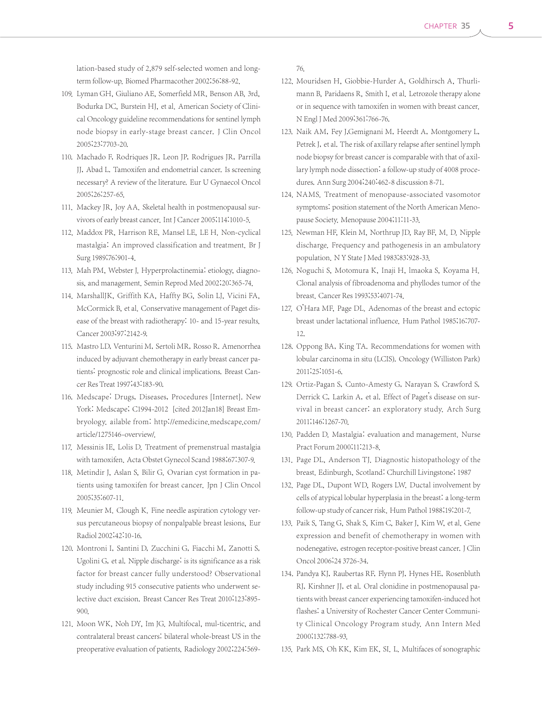lation-based study of 2,879 self-selected women and longterm follow-up. Biomed Pharmacother 2002;56:88-92.

- 109. Lyman GH, Giuliano AE, Somerfield MR, Benson AB, 3rd, Bodurka DC, Burstein HJ, et al. American Society of Clinical Oncology guideline recommendations for sentinel lymph node biopsy in early-stage breast cancer. J Clin Oncol 2005;23:7703-20.
- 110. Machado F, Rodriques JR, Leon JP, Rodrigues JR, Parrilla JJ, Abad L. Tamoxifen and endometrial cancer. Is screening necessary? A review of the literature. Eur U Gynaecol Oncol 2005;26:257-65.
- 111. Mackey JR, Joy AA. Skeletal health in postmenopausal survivors of early breast cancer.Int J Cancer 2005;114:1010-5.
- 112. Maddox PR, Harrison RE, Mansel LE, LE H. Non-cyclical mastalgia: An improved classification and treatment. Br J Surg 1989;76:901-4.
- 113. Mah PM, Webster J. Hyperprolactinemia: etiology, diagnosis, and management. Semin Reprod Med 2002;20:365-74.
- 114. MarshallJK, Griffith KA, Haffty BG, Solin LJ, Vicini FA, McCormick B, et al. Conservative management of Paget disease of the breast with radiotherapy: 10- and 15-year results. Cancer 2003;97:2142-9.
- 115. Mastro LD, Venturini M, Sertoli MR, Rosso R. Amenorrhea induced by adjuvant chemotherapy in early breast cancer patients: prognostic role and clinical implications. Breast Cancer Res Treat 1997;43:183-90.
- 116. Medscape: Drugs, Diseases, Procedures [Internet]. New York: Medscape; C1994-2012 [cited 2012Jan18] Breast Embryology. ailable from: http://emedicine.medscape.com/ article/1275146-overview/.
- 117. Messinis IE, Lolis D. Treatment of premenstrual mastalgia with tamoxifen. Acta Obstet Gynecol Scand 1988;67:307-9.
- 118. Metindir J, Aslan S, Bilir G. Ovarian cyst formation in patients using tamoxifen for breast cancer. Jpn J Clin Oncol 2005;35:607-11.
- 119. Meunier M. Clough K. Fine needle aspiration cytology versus percutaneous biopsy of nonpalpable breast lesions, Eur Radiol 2002;42:10-16.
- 120. Montroni I, Santini D, Zucchini G, Fiacchi M, Zanotti S, Ugolini G, et al. Nipple discharge: is its significance as a risk factor for breast cancer fully understood? Observational study including 915 consecutive patients who underwent selective duct excision. Breast Cancer Res Treat 2010;123:895- 900.
- 121. Moon WK, Noh DY, Im JG. Multifocal, mul-ticentric, and contralateral breast cancers: bilateral whole-breast US in the preoperative evaluation of patients. Radiology 2002;224:569-

76.

- 122. Mouridsen H, Giobbie-Hurder A, Goldhirsch A, Thurlimann B, Paridaens R, Smith I, et al. Letrozole therapy alone or in sequence with tamoxifen in women with breast cancer. N Engl J Med 2009;361:766-76.
- 123. Naik AM, Fey J,Gemignani M, Heerdt A, Montgomery L, Petrek J, et al. The risk of axillary relapse after sentinel lymph node biopsy for breast cancer is comparable with that of axillary lymph node dissection: a follow-up study of 4008 procedures. Ann Surg 2004;240:462-8 discussion 8-71.
- 124. NAMS. Treatment of menopause-associated vasomotor symptoms: position statement of the North American Menopause Society. Menopause 2004;11:11-33.
- 125. Newman HF, Klein M, Northrup JD, Ray BF, M. D. Nipple discharge. Frequency and pathogenesis in an ambulatory population. N Y State J Med 1983;83:928-33.
- 126. Noguchi S, Motomura K, Inaji H, lmaoka S, Koyama H. Clonal analysis of fibroadenoma and phyllodes tumor of the breast. Cancer Res 1993;53:4071-74.
- 127. O'Hara MF, Page DL. Adenomas of the breast and ectopic breast under lactational influence. Hum Pathol 1985;16:707- 12.
- 128. Oppong BA, King TA. Recommendations for women with lobular carcinoma in situ (LCIS). Oncology (Williston Park) 2011;25:1051-6.
- 129. Ortiz-Pagan S, Cunto-Amesty G, Narayan S, Crawford S, Derrick C, Larkin A, et al. Effect of Paget's disease on survival in breast cancer: an exploratory study. Arch Surg 2011;146:1267-70.
- 130. Padden D. Mastalgia: evaluation and management. Nurse Pract Forum 2000;11:213-8.
- 131. Page DL, Anderson TJ. Diagnostic histopathology of the breast. Edinburgh, Scotland: Churchill Livingstone; 1987
- 132. Page DL, Dupont WD, Rogers LW. Ductal involvement by cells of atypical lobular hyperplasia in the breast: a long-term follow-up study of cancer risk. Hum Pathol 1988;19:201-7.
- 133. Paik S, Tang G, Shak S, Kim C, Baker J, Kim W, et al. Gene expression and benefit of chemotherapy in women with nodenegative, estrogen receptor-positive breast cancer. J Clin Oncol 2006;24 3726-34.
- 134. Pandya KJ, Raubertas RF, Flynn PJ, Hynes HE, Rosenbluth RJ, Kirshner JJ, et al. Oral clonidine in postmenopausal patients with breast cancer experiencing tamoxifen-induced hot flashes: a University of Rochester Cancer Center Community Clinical Oncology Program study. Ann Intern Med 2000;132:788-93.
- 135. Park MS, Oh KK, Kim EK, SI. L. Multifaces of sonographic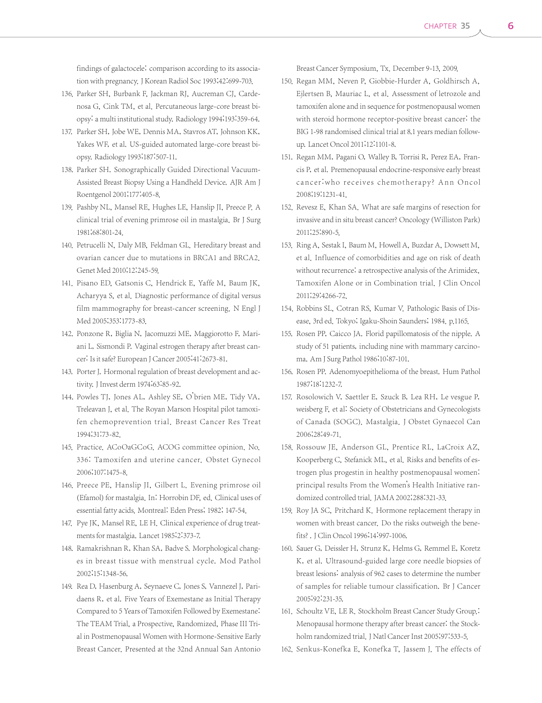findings of galactocele: comparison according to its association with pregnancy. J Korean Radiol Soc 1993;42:699-703.

- 136. Parker SH, Burbank F, Jackman RJ, Aucreman CJ, Cardenosa G, Cink TM, et al. Percutaneous large-core breast biopsy: a multi institutional study. Radiology 1994;193:359-64.
- 137. Parker SH, Jobe WE, Dennis MA, Stavros AT, Johnson KK, Yakes WF, et al. US-guided automated large-core breast biopsy. Radiology 1993;187:507-11.
- 138. Parker SH. Sonographically Guided Directional Vacuum-Assisted Breast Biopsy Using a Handheld Device. AJR Am J Roentgenol 2001;177:405-8.
- 139. Pashby NL, Mansel RE, Hughes LE, Hanslip JI, Preece P. A clinical trial of evening primrose oil in mastalgia. Br J Surg 1981;68:801-24.
- 140. Petrucelli N, Daly MB, Feldman GL. Hereditary breast and ovarian cancer due to mutations in BRCA1 and BRCA2. Genet Med 2010;12:245-59.
- 141. Pisano ED, Gatsonis C, Hendrick E, Yaffe M, Baum JK, Acharyya S, et al. Diagnostic performance of digital versus film mammography for breast-cancer screening. N Engl J Med 2005;353:1773-83.
- 142. Ponzone R, Biglia N, Jacomuzzi ME, Maggiorotto F, Mariani L, Sismondi P. Vaginal estrogen therapy after breast cancer: Is it safe? European J Cancer 2005;41:2673-81.
- 143. Porter J. Hormonal regulation of breast development and activity. J Invest derm 1974;63:85-92.
- 144. Powles TJ, Jones AL, Ashley SE, O'brien ME, Tidy VA, Treleavan J, et al. The Royan Marson Hospital pilot tamoxifen chemoprevention trial. Breast Cancer Res Treat 1994;31:73-82.
- 145. Practice. ACoOaGCoG. ACOG committee opinion. No. 336: Tamoxifen and uterine cancer. Obstet Gynecol 2006;107:1475-8.
- 146. Preece PE, Hanslip JI, Gilbert L. Evening primrose oil (Efamol) for mastalgia. In: Horrobin DF, ed. Clinical uses of essential fatty acids. Montreal: Eden Press; 1982; 147-54.
- 147. Pye JK, Mansel RE, LE H. Clinical experience of drug treatments for mastalgia. Lancet 1985;2:373-7.
- 148. Ramakrishnan R, Khan SA, Badve S. Morphological changes in breast tissue with menstrual cycle. Mod Pathol 2002;15:1348-56.
- 149. Rea D, Hasenburg A, Seynaeve C, Jones S, Vannezel J, Paridaens R, et al. Five Years of Exemestane as Initial Therapy Compared to 5 Years of Tamoxifen Followed by Exemestane: The TEAM Trial, a Prospective, Randomized, Phase III Trial in Postmenopausal Women with Hormone-Sensitive Early Breast Cancer. Presented at the 32nd Annual San Antonio

Breast Cancer Symposium, Tx. December 9-13, 2009.

- 150. Regan MM, Neven P, Giobbie-Hurder A, Goldhirsch A, Ejlertsen B, Mauriac L, et al. Assessment of letrozole and tamoxifen alone and in sequence for postmenopausal women with steroid hormone receptor-positive breast cancer: the BIG 1-98 randomised clinical trial at 8.1 years median followup. Lancet Oncol 2011;12:1101-8.
- 151. Regan MM, Pagani O, Walley B, Torrisi R, Perez EA, Francis P, et al. Premenopausal endocrine-responsive early breast cancer:who receives chemotherapy? Ann Oncol 2008;19:1231-41.
- 152. Revesz E, Khan SA. What are safe margins of resection for invasive and in situ breast cancer? Oncology (Williston Park) 2011;25:890-5.
- 153. Ring A, Sestak I, Baum M, Howell A, Buzdar A, Dowsett M, et al. Influence of comorbidities and age on risk of death without recurrence: a retrospective analysis of the Arimidex, Tamoxifen Alone or in Combination trial. J Clin Oncol 2011;29:4266-72.
- 154. Robbins SL, Cotran RS, Kumar V. Pathologic Basis of Disease, 3rd ed. Tokyo; Igaku-Shoin Saunders; 1984. p.1165.
- 155. Rosen PP, Caicco JA. Florid papillomatosis of the nipple. A study of 51 patients, including nine with mammary carcinoma. Am J Surg Pathol 1986;10:87-101.
- 156. Rosen PP. Adenomyoepithelioma of the breast. Hum Pathol 1987;18:1232-7.
- 157. Rosolowich V, Saettler E, Szuck B, Lea RH, Le vesgue P, weisberg F, et al: Society of Obstetricians and Gynecologists of Canada (SOGC). Mastalgia. J Obstet Gynaecol Can 2006;28:49-71.
- 158. Rossouw JE, Anderson GL, Prentice RL, LaCroix AZ, Kooperberg C, Stefanick ML, et al. Risks and benefits of estrogen plus progestin in healthy postmenopausal women: principal results From the Women's Health Initiative randomized controlled trial. JAMA 2002;288:321-33.
- 159. Roy JA SC, Pritchard K. Hormone replacement therapy in women with breast cancer. Do the risks outweigh the benefits?.J Clin Oncol 1996;14:997-1006.
- 160. Sauer G, Deissler H, Strunz K, Helms G, Remmel E, Koretz K, et al. Ultrasound-guided large core needle biopsies of breast lesions: analysis of 962 cases to determine the number of samples for reliable tumour classification. Br J Cancer 2005;92:231-35.
- 161. Schoultz VE, LE R. Stockholm Breast Cancer Study Group. Menopausal hormone therapy after breast cancer: the Stockholm randomized trial. J Natl Cancer Inst 2005;97:533-5.
- 162. Senkus-Konefka E, Konefka T, Jassem J. The effects of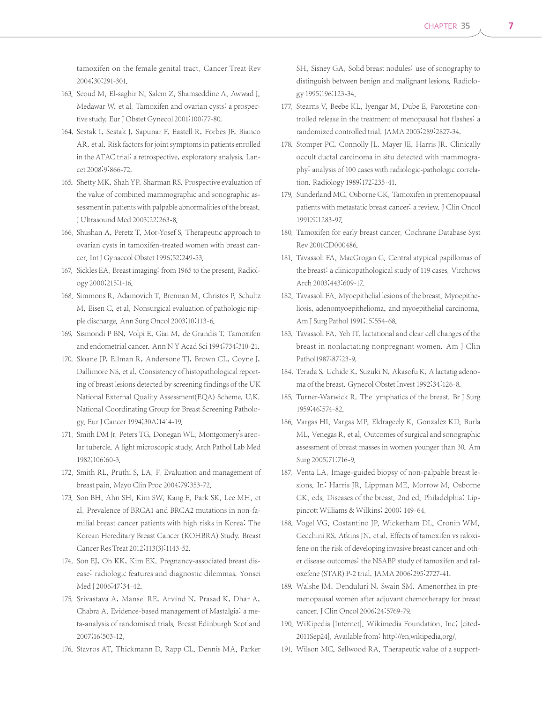tamoxifen on the female genital tract. Cancer Treat Rev 2004;30:291-301.

- 163. Seoud M, El-saghir N, Salem Z, Shamseddine A, Awwad J, Medawar W, et al. Tamoxifen and ovarian cysts: a prospective study. Eur J Obstet Gynecol 2001;100:77-80.
- 164. Sestak I, Sestak J, Sapunar F, Eastell R, Forbes JF, Bianco AR, et al. Risk factors for joint symptoms in patients enrolled in the ATAC trial: a retrospective, exploratory analysis. Lancet 2008;9:866-72.
- 165. Shetty MK, Shah YP, Sharman RS. Prospective evaluation of the value of combined mammographic and sonographic assessment in patients with palpable abnormalities of the breast. J Ultrasound Med 2003;22:263-8.
- 166. Shushan A, Peretz T, Mor-Yosef S. Therapeutic approach to ovarian cysts in tamoxifen-treated women with breast cancer.Int J Gynaecol Obstet 1996;52:249-53.
- 167. Sickles EA. Breast imaging: from 1965 to the present. Radiology 2000;215:1-16.
- 168. Simmons R, Adamovich T, Brennan M, Christos P, Schultz M, Eisen C, et al. Nonsurgical evaluation of pathologic nipple discharge. Ann Surg Oncol 2003;10:113-6.
- 169. Sismondi P BN, Volpi E, Giai M, de Grandis T. Tamoxifen and endometrial cancer. Ann N Y Acad Sci 1994;734:310-21.
- 170. Sloane JP, Ellman R, Andersone TJ, Brown CL, Coyne J, Dallimore NS, et al. Consistency of histopathological reporting of breast lesions detected by screening findings of the UK National External Quality Assessment(EQA) Scheme. U.K. National Coordinating Group for Breast Screening Pathology. Eur J Cancer 1994;30A:1414-19.
- 171. Smith DM Jr. Peters TG, Donegan WL. Montgomery's areolar tubercle. A light microscopic study. Arch Pathol Lab Med 1982;106:60-3.
- 172. Smith RL, Pruthi S, LA. F. Evaluation and management of breast pain. Mayo Clin Proc 2004;79:353-72.
- 173. Son BH, Ahn SH, Kim SW, Kang E, Park SK, Lee MH, et al. Prevalence of BRCA1 and BRCA2 mutations in non-familial breast cancer patients with high risks in Korea: The Korean Hereditary Breast Cancer (KOHBRA) Study. Breast Cancer Res Treat 2012;113(3):1143-52.
- 174. Son EJ, Oh KK, Kim EK. Pregnancy-associated breast disease: radiologic features and diagnostic dilemmas. Yonsei Med J 2006;47:34-42.
- 175. Srivastava A, Mansel RE, Arvind N, Prasad K, Dhar A, Chabra A. Evidence-based management of Mastalgia: a meta-analysis of randomised trials. Breast Edinburgh Scotland 2007;16:503-12.
- 176. Stavros AT, Thickmann D, Rapp CL, Dennis MA, Parker

SH, Sisney GA. Solid breast nodules: use of sonography to distinguish between benign and malignant lesions. Radiology 1995;196:123-34.

- 177. Stearns V, Beebe KL, Iyengar M, Dube E. Paroxetine controlled release in the treatment of menopausal hot flashes: a randomized controlled trial. JAMA 2003;289:2827-34.
- 178. Stomper PC, Connolly JL, Mayer JE, Harris JR. Clinically occult ductal carcinoma in situ detected with mammography: analysis of 100 cases with radiologic-pathologic correlation. Radiology 1989;172:235-41.
- 179. Sunderland MC, Osborne CK. Tamoxifen in premenopausal patients with metastatic breast cancer: a review. J Clin Oncol 1991;9:1283-97.
- 180. Tamoxifen for early breast cancer. Cochrane Database Syst Rev 2001CD000486.
- 181. Tavassoli FA, MacGrogan G. Central atypical papillomas of the breast: a clinicopathological study of 119 cases. Virchows Arch 2003;443:609-17.
- 182. Tavassoli FA. Myoepithelial lesions of the breast. Myoepitheliosis, adenomyoepithelioma, and myoepithelial carcinoma. Am J Surg Pathol 1991;15:554-68.
- 183. Tavassoli FA. Yeh IT. lactational and clear cell changes of the breast in nonlactating nonpregnant women. Am J Clin Pathol1987;87:23-9.
- 184. Terada S, Uchide K, Suzuki N, Akasofu K. A lactatig adenoma of the breast. Gynecol Obstet Invest 1992;34:126-8.
- 185. Turner-Warwick R. The lymphatics of the breast. Br J Surg 1959;46:574-82.
- 186. Vargas HI, Vargas MP, Eldrageely K, Gonzalez KD, Burla ML, Venegas R, et al. Outcomes of surgical and sonographic assessment of breast masses in women younger than 30. Am Surg 2005;71:716-9.
- 187. Venta LA. Image-guided biopsy of non-palpable breast lesions. In: Harris JR, Lippman ME, Morrow M, Osborne CK, eds. Diseases of the breast. 2nd ed. Philadelphia: Lippincott Williams & Wilkins; 2000; 149-64.
- 188. Vogel VG, Costantino JP, Wickerham DL, Cronin WM, Cecchini RS, Atkins JN, et al. Effects of tamoxifen vs raloxifene on the risk of developing invasive breast cancer and other disease outcomes: the NSABP study of tamoxifen and raloxefene (STAR) P-2 trial.JAMA 2006;295:2727-41.
- 189. Walshe JM, Denduluri N, Swain SM. Amenorrhea in premenopausal women after adjuvant chemotherapy for breast cancer. J Clin Oncol 2006;24:5769-79.
- 190. WiKipedia [Internet]. Wikimedia Foundation, Inc; [cited-2011Sep24]. Available from: http://en.wikipedia.org/.
- 191. Wilson MC, Sellwood RA. Therapeutic value of a support-